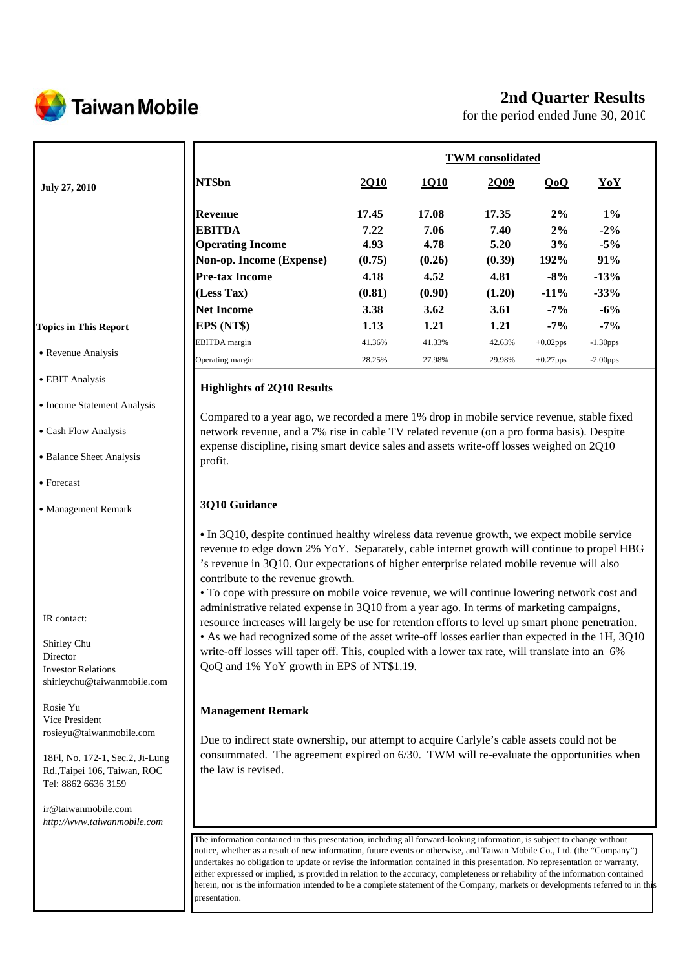

## **2nd Quarter Results**

for the period ended June 30, 2010

|                              |                          | <b>TWM</b> consolidated |        |        |             |             |  |
|------------------------------|--------------------------|-------------------------|--------|--------|-------------|-------------|--|
| <b>July 27, 2010</b>         | NT\$bn                   | 2Q10                    | 1Q10   | 2Q09   | QoQ         | YoY         |  |
|                              | Revenue                  | 17.45                   | 17.08  | 17.35  | 2%          | $1\%$       |  |
|                              | <b>EBITDA</b>            | 7.22                    | 7.06   | 7.40   | 2%          | $-2\%$      |  |
|                              | <b>Operating Income</b>  | 4.93                    | 4.78   | 5.20   | 3%          | $-5%$       |  |
|                              | Non-op. Income (Expense) | (0.75)                  | (0.26) | (0.39) | 192%        | 91%         |  |
|                              | <b>Pre-tax Income</b>    | 4.18                    | 4.52   | 4.81   | $-8%$       | $-13%$      |  |
|                              | (Less Tax)               | (0.81)                  | (0.90) | (1.20) | $-11%$      | $-33%$      |  |
|                              | <b>Net Income</b>        | 3.38                    | 3.62   | 3.61   | $-7\%$      | $-6\%$      |  |
| <b>Topics in This Report</b> | EPS (NT\$)               | 1.13                    | 1.21   | 1.21   | $-7%$       | $-7%$       |  |
|                              | <b>EBITDA</b> margin     | 41.36%                  | 41.33% | 42.63% | $+0.02$ pps | $-1.30$ pps |  |
| • Revenue Analysis           | Operating margin         | 28.25%                  | 27.98% | 29.98% | $+0.27$ pps | $-2.00$ pps |  |

#### **Highlights of 2Q10 Results**

Compared to a year ago, we recorded a mere 1% drop in mobile service revenue, stable fixed network revenue, and a 7% rise in cable TV related revenue (on a pro forma basis). Despite expense discipline, rising smart device sales and assets write-off losses weighed on 2Q10 profit.

#### **3Q10 Guidance**

**•** In 3Q10, despite continued healthy wireless data revenue growth, we expect mobile service revenue to edge down 2% YoY. Separately, cable internet growth will continue to propel HBG 's revenue in 3Q10. Our expectations of higher enterprise related mobile revenue will also contribute to the revenue growth.

• To cope with pressure on mobile voice revenue, we will continue lowering network cost and administrative related expense in 3Q10 from a year ago. In terms of marketing campaigns, resource increases will largely be use for retention efforts to level up smart phone penetration. • As we had recognized some of the asset write-off losses earlier than expected in the 1H, 3Q10 write-off losses will taper off. This, coupled with a lower tax rate, will translate into an 6% QoQ and 1% YoY growth in EPS of NT\$1.19.

#### **Management Remark**

Due to indirect state ownership, our attempt to acquire Carlyle's cable assets could not be consummated. The agreement expired on 6/30. TWM will re-evaluate the opportunities when the law is revised.

The information contained in this presentation, including all forward-looking information, is subject to change without notice, whether as a result of new information, future events or otherwise, and Taiwan Mobile Co., Ltd. (the "Company") undertakes no obligation to update or revise the information contained in this presentation. No representation or warranty, either expressed or implied, is provided in relation to the accuracy, completeness or reliability of the information contained herein, nor is the information intended to be a complete statement of the Company, markets or developments referred to in this presentation.

# • EBIT Analysis

- Income Statement Analysis
- ․Cash Flow Analysis
- Balance Sheet Analysis
- Forecast
- ․Management Remark

#### IR contact:

Shirley Chu Director Investor Relations shirleychu@taiwanmobile.com

Rosie Yu Vice President rosieyu@taiwanmobile.com

18Fl, No. 172-1, Sec.2, Ji-Lung Rd.,Taipei 106, Taiwan, ROC Tel: 8862 6636 3159

ir@taiwanmobile.com *http://www.taiwanmobile.com*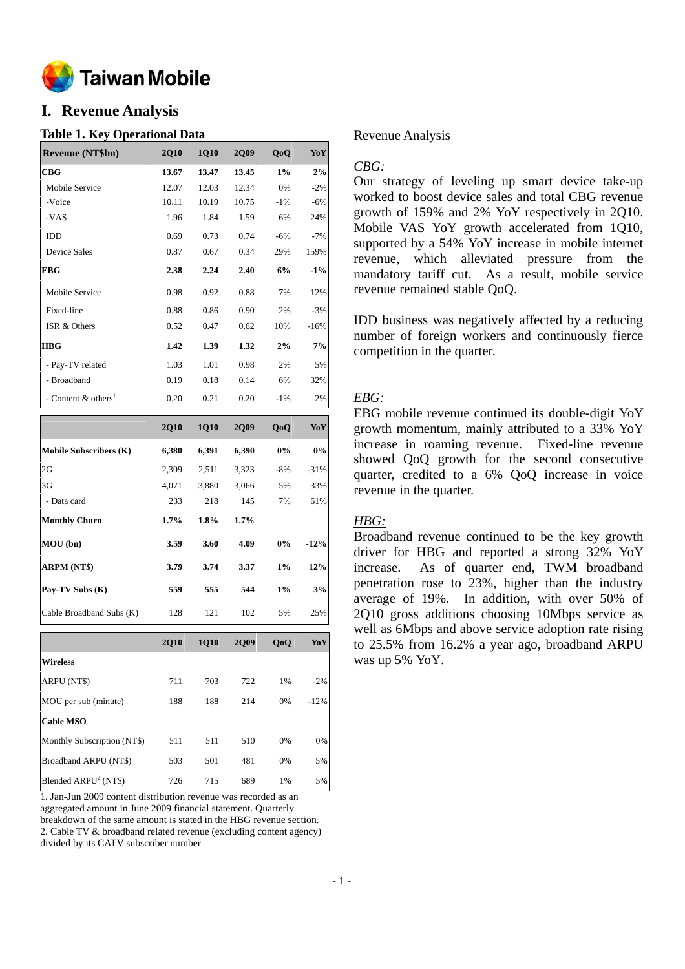

## **I. Revenue Analysis**

#### **Table 1. Key Operational Data**

| <b>Revenue (NT\$bn)</b>           | <b>2Q10</b> | <b>1Q10</b> | <b>2Q09</b> | QoQ    | YoY    |
|-----------------------------------|-------------|-------------|-------------|--------|--------|
| CBG                               | 13.67       | 13.47       | 13.45       | $1\%$  | 2%     |
| Mobile Service                    | 12.07       | 12.03       | 12.34       | 0%     | $-2%$  |
| -Voice                            | 10.11       | 10.19       | 10.75       | $-1\%$ | $-6%$  |
| -VAS                              | 1.96        | 1.84        | 1.59        | 6%     | 24%    |
| <b>IDD</b>                        | 0.69        | 0.73        | 0.74        | $-6%$  | $-7%$  |
| <b>Device Sales</b>               | 0.87        | 0.67        | 0.34        | 29%    | 159%   |
| <b>EBG</b>                        | 2.38        | 2.24        | 2.40        | 6%     | $-1\%$ |
| Mobile Service                    | 0.98        | 0.92        | 0.88        | 7%     | 12%    |
| Fixed-line                        | 0.88        | 0.86        | 0.90        | 2%     | $-3%$  |
| ISR & Others                      | 0.52        | 0.47        | 0.62        | 10%    | $-16%$ |
| <b>HBG</b>                        | 1.42        | 1.39        | 1.32        | 2%     | 7%     |
| - Pay-TV related                  | 1.03        | 1.01        | 0.98        | 2%     | 5%     |
| - Broadband                       | 0.19        | 0.18        | 0.14        | 6%     | 32%    |
| - Content $&$ others <sup>1</sup> | 0.20        | 0.21        | 0.20        | $-1\%$ | 2%     |

|                               | <b>2Q10</b> | <b>1Q10</b> | <b>2Q09</b> | QoQ   | YoY    |
|-------------------------------|-------------|-------------|-------------|-------|--------|
| <b>Mobile Subscribers (K)</b> | 6,380       | 6,391       | 6,390       | 0%    | $0\%$  |
| 2G                            | 2,309       | 2,511       | 3,323       | $-8%$ | $-31%$ |
| 3G                            | 4,071       | 3,880       | 3,066       | 5%    | 33%    |
| - Data card                   | 233         | 218         | 145         | 7%    | 61%    |
| <b>Monthly Churn</b>          | $1.7\%$     | 1.8%        | $1.7\%$     |       |        |
| MOU(bn)                       | 3.59        | 3.60        | 4.09        | 0%    | $-12%$ |
| ARPM (NT\$)                   | 3.79        | 3.74        | 3.37        | 1%    | 12%    |
| Pay-TV Subs (K)               | 559         | 555         | 544         | 1%    | 3%     |
| Cable Broadband Subs (K)      | 128         | 121         | 102         | 5%    | 25%    |

|                             | <b>2Q10</b> | <b>1Q10</b> | <b>2Q09</b> | QoQ | <b>YoY</b> |
|-----------------------------|-------------|-------------|-------------|-----|------------|
| <b>Wireless</b>             |             |             |             |     |            |
| ARPU (NT\$)                 | 711         | 703         | 722         | 1%  | $-2%$      |
| MOU per sub (minute)        | 188         | 188         | 214         | 0%  | $-12%$     |
| <b>Cable MSO</b>            |             |             |             |     |            |
| Monthly Subscription (NT\$) | 511         | 511         | 510         | 0%  | 0%         |
| Broadband ARPU (NT\$)       | 503         | 501         | 481         | 0%  | 5%         |
| Blended $ARPU2 (NT$)$       | 726         | 715         | 689         | 1%  | 5%         |

1. Jan-Jun 2009 content distribution revenue was recorded as an aggregated amount in June 2009 financial statement. Quarterly breakdown of the same amount is stated in the HBG revenue section. 2. Cable TV & broadband related revenue (excluding content agency) divided by its CATV subscriber number

#### Revenue Analysis

#### *CBG:*

Our strategy of leveling up smart device take-up worked to boost device sales and total CBG revenue growth of 159% and 2% YoY respectively in 2Q10. Mobile VAS YoY growth accelerated from 1Q10, supported by a 54% YoY increase in mobile internet revenue, which alleviated pressure from the mandatory tariff cut. As a result, mobile service revenue remained stable QoQ.

IDD business was negatively affected by a reducing number of foreign workers and continuously fierce competition in the quarter.

#### *EBG:*

EBG mobile revenue continued its double-digit YoY growth momentum, mainly attributed to a 33% YoY increase in roaming revenue. Fixed-line revenue showed QoQ growth for the second consecutive quarter, credited to a 6% QoQ increase in voice revenue in the quarter.

#### *HBG:*

Broadband revenue continued to be the key growth driver for HBG and reported a strong 32% YoY increase. As of quarter end, TWM broadband penetration rose to 23%, higher than the industry average of 19%. In addition, with over 50% of 2Q10 gross additions choosing 10Mbps service as well as 6Mbps and above service adoption rate rising to 25.5% from 16.2% a year ago, broadband ARPU was up 5% YoY.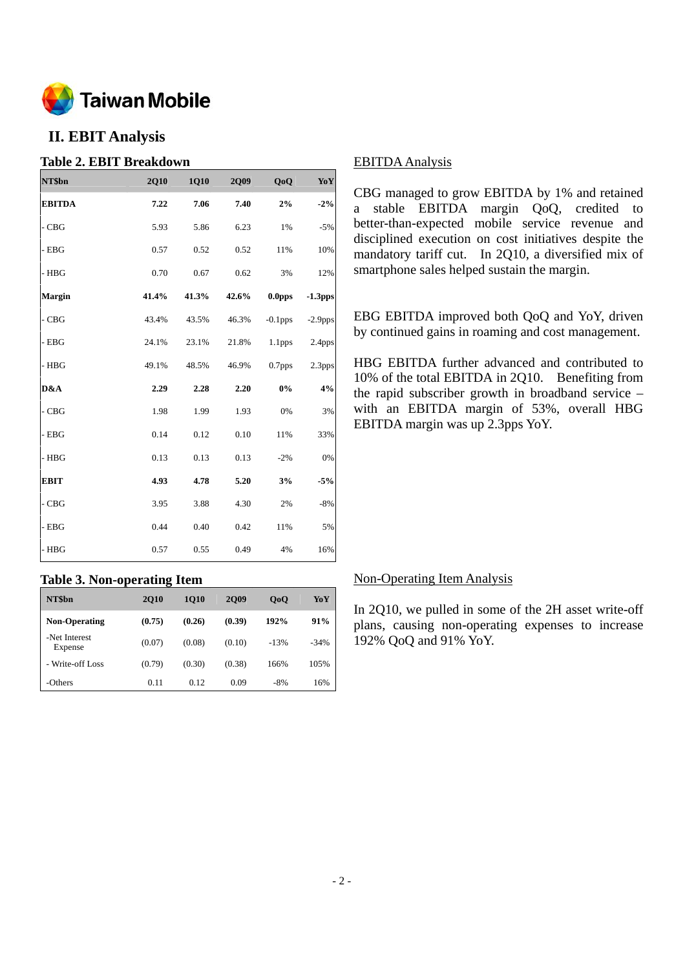

## **II. EBIT Analysis**

#### **Table 2. EBIT Breakdown**

| NT\$bn        | <b>2Q10</b> | 1Q10  | 2Q09  | QoQ                | Yo Y       |
|---------------|-------------|-------|-------|--------------------|------------|
| <b>EBITDA</b> | 7.22        | 7.06  | 7.40  | 2%                 | $-2%$      |
| - CBG         | 5.93        | 5.86  | 6.23  | 1%                 | $-5%$      |
| $-$ EBG       | 0.57        | 0.52  | 0.52  | 11%                | 10%        |
| - HBG         | 0.70        | 0.67  | 0.62  | 3%                 | 12%        |
| <b>Margin</b> | 41.4%       | 41.3% | 42.6% | 0.0 <sub>pps</sub> | $-1.3$ pps |
| - CBG         | 43.4%       | 43.5% | 46.3% | $-0.1$ pps         | $-2.9$ pps |
| - EBG         | 24.1%       | 23.1% | 21.8% | 1.1 <sub>pps</sub> | 2.4pps     |
| $-$ HBG       | 49.1%       | 48.5% | 46.9% | 0.7pps             | 2.3pps     |
| D&A           | 2.29        | 2.28  | 2.20  | $0\%$              | 4%         |
| $-CBG$        | 1.98        | 1.99  | 1.93  | 0%                 | 3%         |
| $-$ EBG       | 0.14        | 0.12  | 0.10  | 11%                | 33%        |
| - HBG         | 0.13        | 0.13  | 0.13  | $-2%$              | 0%         |
| <b>EBIT</b>   | 4.93        | 4.78  | 5.20  | 3%                 | $-5%$      |
| - CBG         | 3.95        | 3.88  | 4.30  | 2%                 | $-8%$      |
| $-$ EBG       | 0.44        | 0.40  | 0.42  | 11%                | 5%         |
| - HBG         | 0.57        | 0.55  | 0.49  | 4%                 | 16%        |

#### **Table 3. Non-operating Item**

| NT\$bn                   | <b>2010</b> | <b>1010</b> | <b>2009</b> | 0 <sub>0</sub> | YoY     |
|--------------------------|-------------|-------------|-------------|----------------|---------|
| <b>Non-Operating</b>     | (0.75)      | (0.26)      | (0.39)      | 192%           | 91%     |
| -Net Interest<br>Expense | (0.07)      | (0.08)      | (0.10)      | $-13%$         | $-34\%$ |
| - Write-off Loss         | (0.79)      | (0.30)      | (0.38)      | 166%           | 105%    |
| -Others                  | 0.11        | 0.12        | 0.09        | $-8%$          | 16%     |

#### EBITDA Analysis

CBG managed to grow EBITDA by 1% and retained a stable EBITDA margin QoQ, credited to better-than-expected mobile service revenue and disciplined execution on cost initiatives despite the mandatory tariff cut. In 2Q10, a diversified mix of smartphone sales helped sustain the margin.

EBG EBITDA improved both QoQ and YoY, driven by continued gains in roaming and cost management.

HBG EBITDA further advanced and contributed to 10% of the total EBITDA in 2Q10. Benefiting from the rapid subscriber growth in broadband service – with an EBITDA margin of 53%, overall HBG EBITDA margin was up 2.3pps YoY.

#### Non-Operating Item Analysis

In 2Q10, we pulled in some of the 2H asset write-off plans, causing non-operating expenses to increase 192% QoQ and 91% YoY.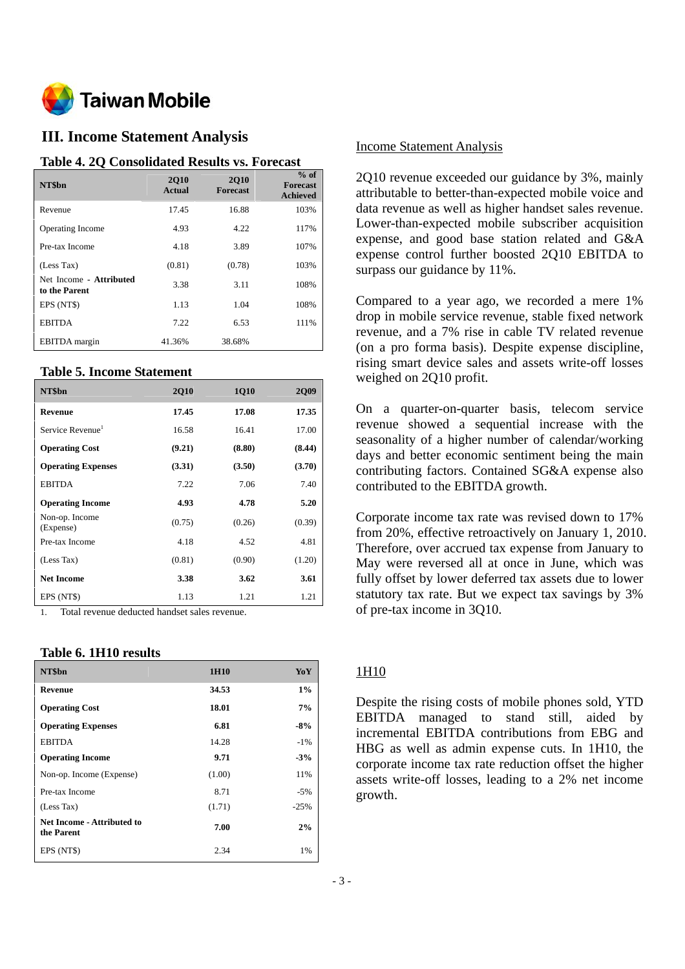

## **III. Income Statement Analysis**

#### **Table 4. 2Q Consolidated Results vs. Forecast**

| NT\$bn                                   | <b>2010</b><br><b>Actual</b> | <b>2010</b><br><b>Forecast</b> | $%$ of<br><b>Forecast</b><br><b>Achieved</b> |
|------------------------------------------|------------------------------|--------------------------------|----------------------------------------------|
| Revenue                                  | 17.45                        | 16.88                          | 103%                                         |
| <b>Operating Income</b>                  | 4.93                         | 4.22                           | 117%                                         |
| Pre-tax Income                           | 4.18                         | 3.89                           | 107%                                         |
| (Less Tax)                               | (0.81)                       | (0.78)                         | 103%                                         |
| Net Income - Attributed<br>to the Parent | 3.38                         | 3.11                           | 108%                                         |
| EPS (NT\$)                               | 1.13                         | 1.04                           | 108%                                         |
| <b>EBITDA</b>                            | 7.22                         | 6.53                           | 111%                                         |
| <b>EBITDA</b> margin                     | 41.36%                       | 38.68%                         |                                              |

#### **Table 5. Income Statement**

| NT\$bn                       | <b>2Q10</b> | 1Q10   | <b>2Q09</b> |
|------------------------------|-------------|--------|-------------|
| Revenue                      | 17.45       | 17.08  | 17.35       |
| Service Revenue <sup>1</sup> | 16.58       | 16.41  | 17.00       |
| <b>Operating Cost</b>        | (9.21)      | (8.80) | (8.44)      |
| <b>Operating Expenses</b>    | (3.31)      | (3.50) | (3.70)      |
| <b>EBITDA</b>                | 7.22        | 7.06   | 7.40        |
| <b>Operating Income</b>      | 4.93        | 4.78   | 5.20        |
| Non-op. Income<br>(Expense)  | (0.75)      | (0.26) | (0.39)      |
| Pre-tax Income               | 4.18        | 4.52   | 4.81        |
| (Less Tax)                   | (0.81)      | (0.90) | (1.20)      |
| <b>Net Income</b>            | 3.38        | 3.62   | 3.61        |
| EPS (NT\$)                   | 1.13        | 1.21   | 1.21        |

1. Total revenue deducted handset sales revenue.

#### **Table 6. 1H10 results**

| NT\$bn                                   | 1H10   | YoY    |
|------------------------------------------|--------|--------|
| Revenue                                  | 34.53  | 1%     |
| <b>Operating Cost</b>                    | 18.01  | 7%     |
| <b>Operating Expenses</b>                | 6.81   | -8%    |
| <b>EBITDA</b>                            | 14.28  | $-1\%$ |
| <b>Operating Income</b>                  | 9.71   | $-3%$  |
| Non-op. Income (Expense)                 | (1.00) | 11%    |
| Pre-tax Income                           | 8.71   | $-5%$  |
| (Less Tax)                               | (1.71) | $-25%$ |
| Net Income - Attributed to<br>the Parent | 7.00   | 2%     |
| EPS (NT\$)                               | 2.34   | 1%     |

#### Income Statement Analysis

2Q10 revenue exceeded our guidance by 3%, mainly attributable to better-than-expected mobile voice and data revenue as well as higher handset sales revenue. Lower-than-expected mobile subscriber acquisition expense, and good base station related and G&A expense control further boosted 2Q10 EBITDA to surpass our guidance by 11%.

Compared to a year ago, we recorded a mere 1% drop in mobile service revenue, stable fixed network revenue, and a 7% rise in cable TV related revenue (on a pro forma basis). Despite expense discipline, rising smart device sales and assets write-off losses weighed on 2Q10 profit.

On a quarter-on-quarter basis, telecom service revenue showed a sequential increase with the seasonality of a higher number of calendar/working days and better economic sentiment being the main contributing factors. Contained SG&A expense also contributed to the EBITDA growth.

Corporate income tax rate was revised down to 17% from 20%, effective retroactively on January 1, 2010. Therefore, over accrued tax expense from January to May were reversed all at once in June, which was fully offset by lower deferred tax assets due to lower statutory tax rate. But we expect tax savings by 3% of pre-tax income in 3Q10.

#### 1H10

Despite the rising costs of mobile phones sold, YTD EBITDA managed to stand still, aided by incremental EBITDA contributions from EBG and HBG as well as admin expense cuts. In 1H10, the corporate income tax rate reduction offset the higher assets write-off losses, leading to a 2% net income growth.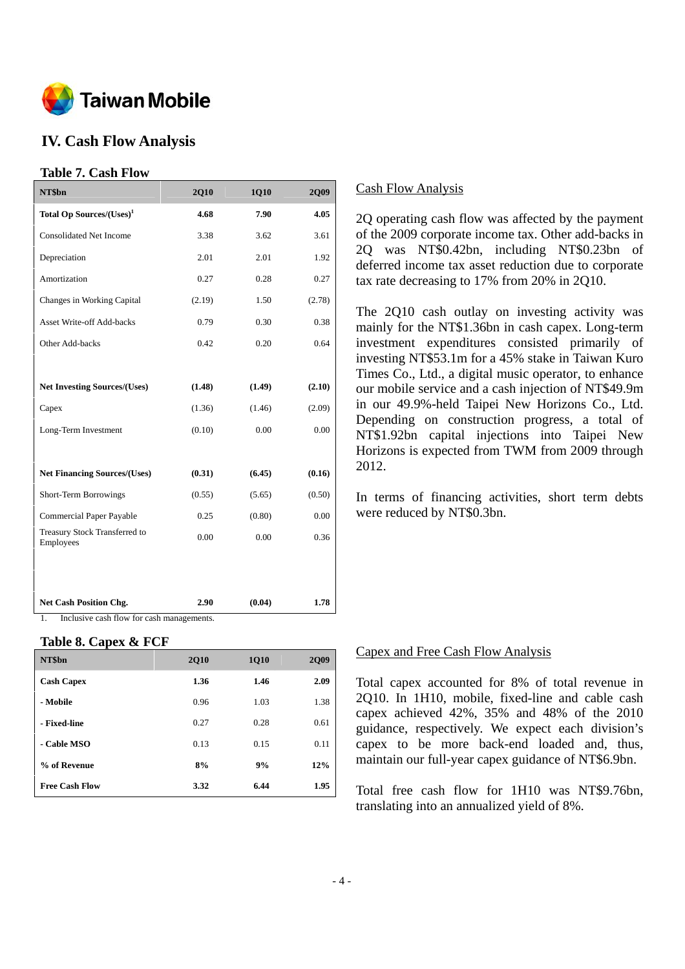

## **IV. Cash Flow Analysis**

#### **Table 7. Cash Flow**

| NT\$bn                                     | <b>2Q10</b> | 1Q10   | <b>2Q09</b> |
|--------------------------------------------|-------------|--------|-------------|
| Total Op Sources/(Uses) <sup>1</sup>       | 4.68        | 7.90   | 4.05        |
| <b>Consolidated Net Income</b>             | 3.38        | 3.62   | 3.61        |
| Depreciation                               | 2.01        | 2.01   | 1.92        |
| Amortization                               | 0.27        | 0.28   | 0.27        |
| Changes in Working Capital                 | (2.19)      | 1.50   | (2.78)      |
| <b>Asset Write-off Add-backs</b>           | 0.79        | 0.30   | 0.38        |
| Other Add-backs                            | 0.42        | 0.20   | 0.64        |
|                                            |             |        |             |
| <b>Net Investing Sources/(Uses)</b>        | (1.48)      | (1.49) | (2.10)      |
| Capex                                      | (1.36)      | (1.46) | (2.09)      |
| Long-Term Investment                       | (0.10)      | 0.00   | 0.00        |
|                                            |             |        |             |
| <b>Net Financing Sources/(Uses)</b>        | (0.31)      | (6.45) | (0.16)      |
| Short-Term Borrowings                      | (0.55)      | (5.65) | (0.50)      |
| Commercial Paper Payable                   | 0.25        | (0.80) | 0.00        |
| Treasury Stock Transferred to<br>Employees | 0.00        | 0.00   | 0.36        |
|                                            |             |        |             |
|                                            |             |        |             |
| <b>Net Cash Position Chg.</b>              | 2.90        | (0.04) | 1.78        |

1. Inclusive cash flow for cash managements.

#### **Table 8. Capex & FCF**

| NT\$bn                | <b>2Q10</b> | <b>1Q10</b> | <b>2Q09</b> |
|-----------------------|-------------|-------------|-------------|
| <b>Cash Capex</b>     | 1.36        | 1.46        | 2.09        |
| - Mobile              | 0.96        | 1.03        | 1.38        |
| - Fixed-line          | 0.27        | 0.28        | 0.61        |
| - Cable MSO           | 0.13        | 0.15        | 0.11        |
| % of Revenue          | 8%          | 9%          | 12%         |
| <b>Free Cash Flow</b> | 3.32        | 6.44        | 1.95        |

#### Cash Flow Analysis

2Q operating cash flow was affected by the payment of the 2009 corporate income tax. Other add-backs in 2Q was NT\$0.42bn, including NT\$0.23bn of deferred income tax asset reduction due to corporate tax rate decreasing to 17% from 20% in 2Q10.

The 2Q10 cash outlay on investing activity was mainly for the NT\$1.36bn in cash capex. Long-term investment expenditures consisted primarily of investing NT\$53.1m for a 45% stake in Taiwan Kuro Times Co., Ltd., a digital music operator, to enhance our mobile service and a cash injection of NT\$49.9m in our 49.9%-held Taipei New Horizons Co., Ltd. Depending on construction progress, a total of NT\$1.92bn capital injections into Taipei New Horizons is expected from TWM from 2009 through 2012.

In terms of financing activities, short term debts were reduced by NT\$0.3bn.

#### Capex and Free Cash Flow Analysis

Total capex accounted for 8% of total revenue in 2Q10. In 1H10, mobile, fixed-line and cable cash capex achieved 42%, 35% and 48% of the 2010 guidance, respectively. We expect each division's capex to be more back-end loaded and, thus, maintain our full-year capex guidance of NT\$6.9bn.

Total free cash flow for 1H10 was NT\$9.76bn, translating into an annualized yield of 8%.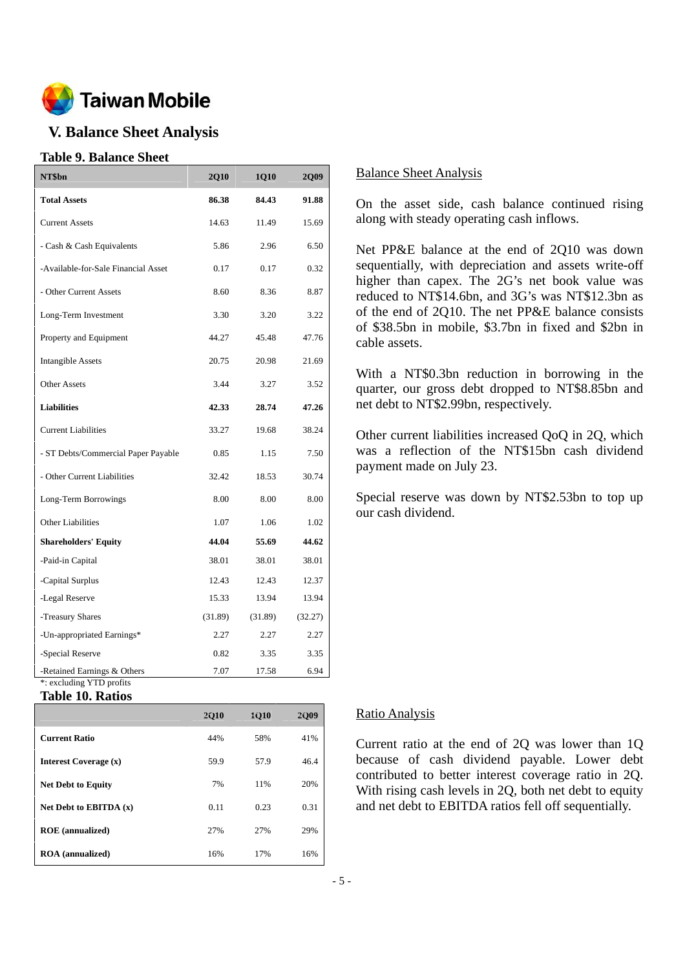

## **V. Balance Sheet Analysis**

#### **Table 9. Balance Sheet**

| NT\$bn                                                  | <b>2Q10</b> | 1Q10    | 2Q09    |
|---------------------------------------------------------|-------------|---------|---------|
| <b>Total Assets</b>                                     | 86.38       | 84.43   | 91.88   |
| <b>Current Assets</b>                                   | 14.63       | 11.49   | 15.69   |
| - Cash & Cash Equivalents                               | 5.86        | 2.96    | 6.50    |
| -Available-for-Sale Financial Asset                     | 0.17        | 0.17    | 0.32    |
| - Other Current Assets                                  | 8.60        | 8.36    | 8.87    |
| Long-Term Investment                                    | 3.30        | 3.20    | 3.22    |
| Property and Equipment                                  | 44.27       | 45.48   | 47.76   |
| <b>Intangible Assets</b>                                | 20.75       | 20.98   | 21.69   |
| <b>Other Assets</b>                                     | 3.44        | 3.27    | 3.52    |
| <b>Liabilities</b>                                      | 42.33       | 28.74   | 47.26   |
| <b>Current Liabilities</b>                              | 33.27       | 19.68   | 38.24   |
| - ST Debts/Commercial Paper Payable                     | 0.85        | 1.15    | 7.50    |
| - Other Current Liabilities                             | 32.42       | 18.53   | 30.74   |
| Long-Term Borrowings                                    | 8.00        | 8.00    | 8.00    |
| <b>Other Liabilities</b>                                | 1.07        | 1.06    | 1.02    |
| <b>Shareholders' Equity</b>                             | 44.04       | 55.69   | 44.62   |
| -Paid-in Capital                                        | 38.01       | 38.01   | 38.01   |
| -Capital Surplus                                        | 12.43       | 12.43   | 12.37   |
| -Legal Reserve                                          | 15.33       | 13.94   | 13.94   |
| -Treasury Shares                                        | (31.89)     | (31.89) | (32.27) |
| -Un-appropriated Earnings*                              | 2.27        | 2.27    | 2.27    |
| -Special Reserve                                        | 0.82        | 3.35    | 3.35    |
| -Retained Earnings & Others<br>*: excluding YTD profits | 7.07        | 17.58   | 6.94    |

#### **Table 10. Ratios**

|                              | <b>2010</b> | <b>1010</b> | 2009 |
|------------------------------|-------------|-------------|------|
| <b>Current Ratio</b>         | 44%         | 58%         | 41%  |
| <b>Interest Coverage (x)</b> | 59.9        | 57.9        | 46.4 |
| <b>Net Debt to Equity</b>    | 7%          | 11%         | 20%  |
| Net Debt to EBITDA $(x)$     | 0.11        | 0.23        | 0.31 |
| <b>ROE</b> (annualized)      | 27%         | 27%         | 29%  |
| <b>ROA</b> (annualized)      | 16%         | 17%         | 16%  |

#### Balance Sheet Analysis

On the asset side, cash balance continued rising along with steady operating cash inflows.

Net PP&E balance at the end of 2Q10 was down sequentially, with depreciation and assets write-off higher than capex. The 2G's net book value was reduced to NT\$14.6bn, and 3G's was NT\$12.3bn as of the end of 2Q10. The net PP&E balance consists of \$38.5bn in mobile, \$3.7bn in fixed and \$2bn in cable assets.

With a NT\$0.3bn reduction in borrowing in the quarter, our gross debt dropped to NT\$8.85bn and net debt to NT\$2.99bn, respectively.

Other current liabilities increased QoQ in 2Q, which was a reflection of the NT\$15bn cash dividend payment made on July 23.

Special reserve was down by NT\$2.53bn to top up our cash dividend.

#### Ratio Analysis

Current ratio at the end of 2Q was lower than 1Q because of cash dividend payable. Lower debt contributed to better interest coverage ratio in 2Q. With rising cash levels in 2Q, both net debt to equity and net debt to EBITDA ratios fell off sequentially.